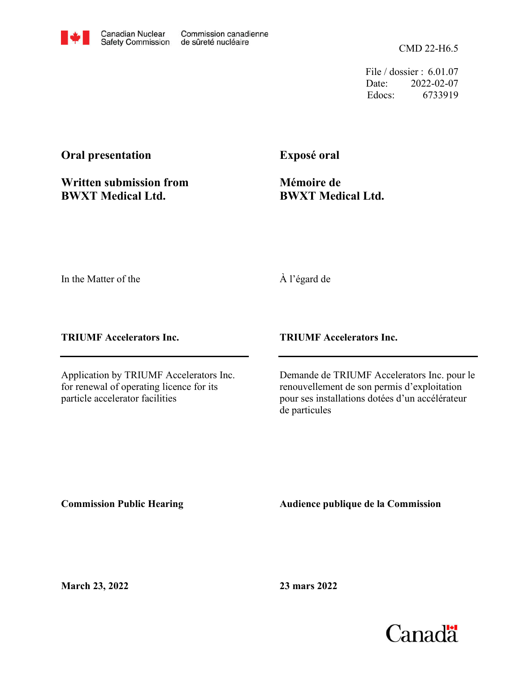CMD 22-H6.5

File / dossier : 6.01.07 Date: 2022-02-07 Edocs: 6733919

## **Oral presentation**

**Written submission from BWXT Medical Ltd.**

**Exposé oral**

**Mémoire de BWXT Medical Ltd.**

In the Matter of the

À l'égard de

**TRIUMF Accelerators Inc.**

Application by TRIUMF Accelerators Inc. for renewal of operating licence for its particle accelerator facilities

**TRIUMF Accelerators Inc.**

Demande de TRIUMF Accelerators Inc. pour le renouvellement de son permis d'exploitation pour ses installations dotées d'un accélérateur de particules

**Commission Public Hearing**

**Audience publique de la Commission** 

**March 23, 2022**

**23 mars 2022**

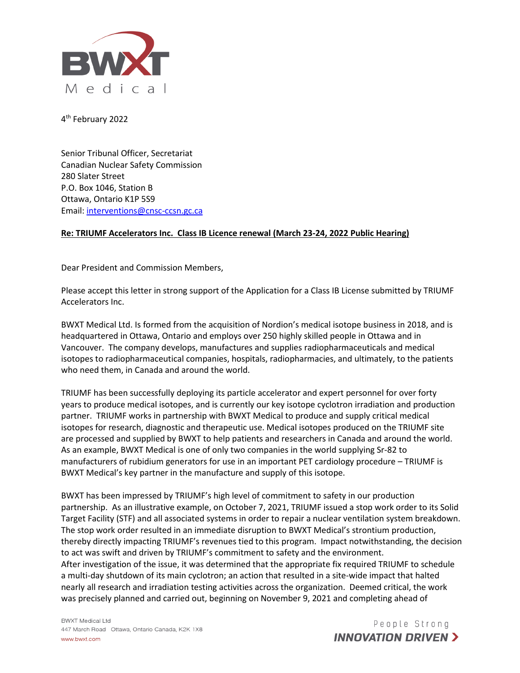

4<sup>th</sup> February 2022

Senior Tribunal Officer, Secretariat Canadian Nuclear Safety Commission 280 Slater Street P.O. Box 1046, Station B Ottawa, Ontario K1P 5S9 Email: [interventions@cnsc-ccsn.gc.ca](mailto:interventions@cnsc-ccsn.gc.ca)

## **Re: TRIUMF Accelerators Inc. Class IB Licence renewal (March 23-24, 2022 Public Hearing)**

Dear President and Commission Members,

Please accept this letter in strong support of the Application for a Class IB License submitted by TRIUMF Accelerators Inc.

BWXT Medical Ltd. Is formed from the acquisition of Nordion's medical isotope business in 2018, and is headquartered in Ottawa, Ontario and employs over 250 highly skilled people in Ottawa and in Vancouver. The company develops, manufactures and supplies radiopharmaceuticals and medical isotopes to radiopharmaceutical companies, hospitals, radiopharmacies, and ultimately, to the patients who need them, in Canada and around the world.

TRIUMF has been successfully deploying its particle accelerator and expert personnel for over forty years to produce medical isotopes, and is currently our key isotope cyclotron irradiation and production partner. TRIUMF works in partnership with BWXT Medical to produce and supply critical medical isotopes for research, diagnostic and therapeutic use. Medical isotopes produced on the TRIUMF site are processed and supplied by BWXT to help patients and researchers in Canada and around the world. As an example, BWXT Medical is one of only two companies in the world supplying Sr-82 to manufacturers of rubidium generators for use in an important PET cardiology procedure – TRIUMF is BWXT Medical's key partner in the manufacture and supply of this isotope.

BWXT has been impressed by TRIUMF's high level of commitment to safety in our production partnership. As an illustrative example, on October 7, 2021, TRIUMF issued a stop work order to its Solid Target Facility (STF) and all associated systems in order to repair a nuclear ventilation system breakdown. The stop work order resulted in an immediate disruption to BWXT Medical's strontium production, thereby directly impacting TRIUMF's revenues tied to this program. Impact notwithstanding, the decision to act was swift and driven by TRIUMF's commitment to safety and the environment. After investigation of the issue, it was determined that the appropriate fix required TRIUMF to schedule a multi-day shutdown of its main cyclotron; an action that resulted in a site-wide impact that halted nearly all research and irradiation testing activities across the organization. Deemed critical, the work was precisely planned and carried out, beginning on November 9, 2021 and completing ahead of

**BWXT Medical Ltd** 447 March Road Ottawa, Ontario Canada, K2K 1X8 www.bwxt.com

People Strong **INNOVATION DRIVEN >**